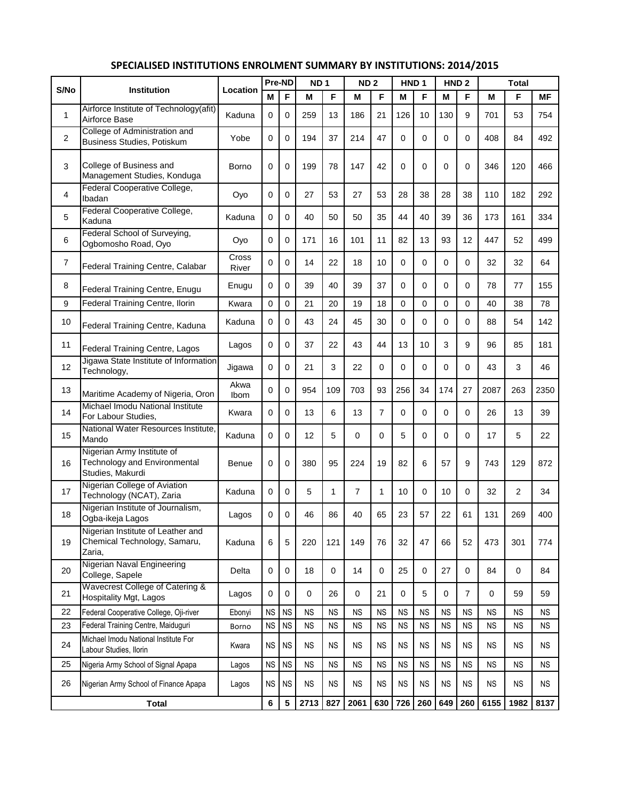|                |                                                                                       |                | Pre-ND      |           | ND <sub>1</sub> |           | ND <sub>2</sub> |           | HND <sub>1</sub> |           |           | HND <sub>2</sub> |           |           |           |
|----------------|---------------------------------------------------------------------------------------|----------------|-------------|-----------|-----------------|-----------|-----------------|-----------|------------------|-----------|-----------|------------------|-----------|-----------|-----------|
| S/No           | <b>Institution</b>                                                                    | Location       | М           | F         | М               | F         | M               | F         | Μ                | F         | М         | F                | M         | F         | МF        |
| 1              | Airforce Institute of Technology(afit)<br>Airforce Base                               | Kaduna         | 0           | 0         | 259             | 13        | 186             | 21        | 126              | 10        | 130       | 9                | 701       | 53        | 754       |
| 2              | College of Administration and<br>Business Studies, Potiskum                           | Yobe           | 0           | 0         | 194             | 37        | 214             | 47        | 0                | 0         | 0         | $\Omega$         | 408       | 84        | 492       |
| 3              | College of Business and<br>Management Studies, Konduga                                | Borno          | 0           | 0         | 199             | 78        | 147             | 42        | $\Omega$         | 0         | 0         | $\Omega$         | 346       | 120       | 466       |
| 4              | Federal Cooperative College,<br>Ibadan                                                | Oyo            | 0           | 0         | 27              | 53        | 27              | 53        | 28               | 38        | 28        | 38               | 110       | 182       | 292       |
| 5              | Federal Cooperative College,<br>Kaduna                                                | Kaduna         | 0           | 0         | 40              | 50        | 50              | 35        | 44               | 40        | 39        | 36               | 173       | 161       | 334       |
| 6              | Federal School of Surveying,<br>Ogbomosho Road, Oyo                                   | Oyo            | 0           | 0         | 171             | 16        | 101             | 11        | 82               | 13        | 93        | 12               | 447       | 52        | 499       |
| $\overline{7}$ | Federal Training Centre, Calabar                                                      | Cross<br>River | 0           | 0         | 14              | 22        | 18              | 10        | 0                | 0         | 0         | $\Omega$         | 32        | 32        | 64        |
| 8              | Federal Training Centre, Enugu                                                        | Enugu          | 0           | 0         | 39              | 40        | 39              | 37        | 0                | 0         | 0         | 0                | 78        | 77        | 155       |
| 9              | Federal Training Centre, Ilorin                                                       | Kwara          | 0           | 0         | 21              | 20        | 19              | 18        | 0                | 0         | 0         | $\Omega$         | 40        | 38        | 78        |
| 10             | Federal Training Centre, Kaduna                                                       | Kaduna         | 0           | $\Omega$  | 43              | 24        | 45              | 30        | 0                | 0         | 0         | $\Omega$         | 88        | 54        | 142       |
| 11             | Federal Training Centre, Lagos                                                        | Lagos          | 0           | 0         | 37              | 22        | 43              | 44        | 13               | 10        | 3         | 9                | 96        | 85        | 181       |
| 12             | Jigawa State Institute of Information<br>Technology,                                  | Jigawa         | 0           | 0         | 21              | 3         | 22              | $\Omega$  | 0                | 0         | 0         | $\Omega$         | 43        | 3         | 46        |
| 13             | Maritime Academy of Nigeria, Oron                                                     | Akwa<br>Ibom   | 0           | 0         | 954             | 109       | 703             | 93        | 256              | 34        | 174       | 27               | 2087      | 263       | 2350      |
| 14             | Michael Imodu National Institute<br>For Labour Studies,                               | Kwara          | $\mathbf 0$ | 0         | 13              | 6         | 13              | 7         | 0                | 0         | 0         | 0                | 26        | 13        | 39        |
| 15             | National Water Resources Institute,<br>Mando                                          | Kaduna         | 0           | 0         | 12              | 5         | 0               | 0         | 5                | 0         | 0         | 0                | 17        | 5         | 22        |
| 16             | Nigerian Army Institute of<br><b>Technology and Environmental</b><br>Studies, Makurdi | Benue          | $\mathbf 0$ | 0         | 380             | 95        | 224             | 19        | 82               | 6         | 57        | 9                | 743       | 129       | 872       |
| 17             | Nigerian College of Aviation<br>Technology (NCAT), Zaria                              | Kaduna         | 0           | 0         | 5               | 1         | 7               | 1         | 10               | 0         | 10        | $\Omega$         | 32        | 2         | 34        |
| 18             | Nigerian Institute of Journalism,<br>Ogba-ikeja Lagos                                 | Lagos          | 0           | 0         | 46              | 86        | 40              | 65        | 23               | 57        | 22        | 61               | 131       | 269       | 400       |
| 19             | Nigerian Institute of Leather and<br>Chemical Technology, Samaru,<br>Zaria,           | Kaduna         | 6           | 5         | 220             | 121       | 149             | 76        | 32               | 47        | 66        | 52               | 473       | 301       | 774       |
| 20             | Nigerian Naval Engineering<br>College, Sapele                                         | Delta          | 0           | 0         | 18              | 0         | 14              | 0         | 25               | 0         | 27        | 0                | 84        | 0         | 84        |
| 21             | Wavecrest College of Catering &<br>Hospitality Mgt, Lagos                             | Lagos          | 0           | 0         | 0               | 26        | 0               | 21        | 0                | 5         | 0         | $\overline{7}$   | 0         | 59        | 59        |
| 22             | Federal Cooperative College, Oji-river                                                | Ebonyi         | <b>NS</b>   | <b>NS</b> | <b>NS</b>       | <b>NS</b> | <b>NS</b>       | <b>NS</b> | <b>NS</b>        | <b>NS</b> | <b>NS</b> | <b>NS</b>        | <b>NS</b> | <b>NS</b> | NS.       |
| 23             | Federal Training Centre, Maiduguri                                                    | Borno          | <b>NS</b>   | <b>NS</b> | <b>NS</b>       | <b>NS</b> | <b>NS</b>       | <b>NS</b> | <b>NS</b>        | <b>NS</b> | <b>NS</b> | <b>NS</b>        | <b>NS</b> | <b>NS</b> | <b>NS</b> |
| 24             | Michael Imodu National Institute For<br>Labour Studies, Ilorin                        | Kwara          | <b>NS</b>   | <b>NS</b> | NS.             | <b>NS</b> | ΝS              | <b>NS</b> | <b>NS</b>        | <b>NS</b> | <b>NS</b> | <b>NS</b>        | <b>NS</b> | ΝS        | NS.       |
| 25             | Nigeria Army School of Signal Apapa                                                   | Lagos          | <b>NS</b>   | <b>NS</b> | <b>NS</b>       | <b>NS</b> | <b>NS</b>       | <b>NS</b> | <b>NS</b>        | <b>NS</b> | <b>NS</b> | <b>NS</b>        | <b>NS</b> | <b>NS</b> | <b>NS</b> |
| 26             | Nigerian Army School of Finance Apapa                                                 | Lagos          | <b>NS</b>   | <b>NS</b> | <b>NS</b>       | <b>NS</b> | <b>NS</b>       | <b>NS</b> | <b>NS</b>        | <b>NS</b> | <b>NS</b> | <b>NS</b>        | <b>NS</b> | <b>NS</b> | <b>NS</b> |
| <b>Total</b>   |                                                                                       |                |             | 5         | 2713            | 827       | 2061            | 630       | 726              | 260       | 649       | 260              | 6155      | 1982      | 8137      |

## **SPECIALISED INSTITUTIONS ENROLMENT SUMMARY BY INSTITUTIONS: 2014/2015**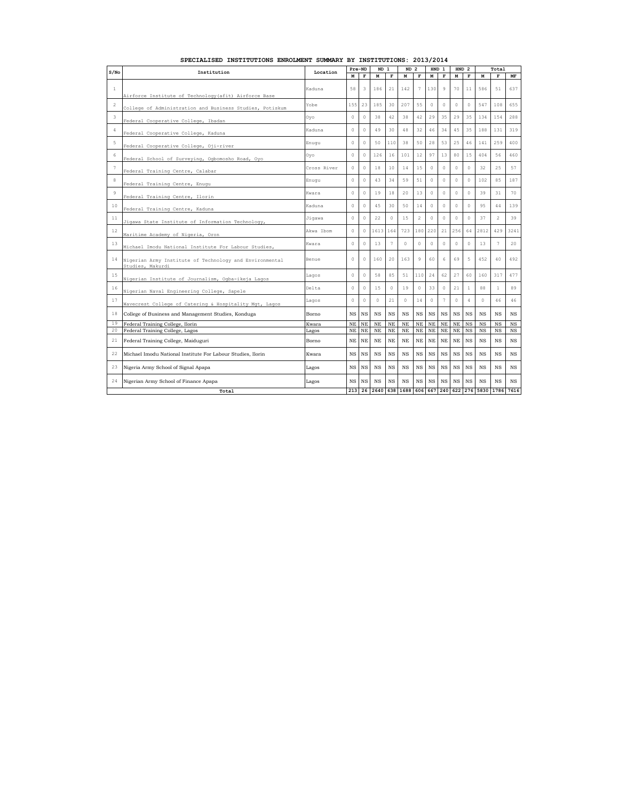| S/No           | Institution                                                                 | Location    | Pre-ND    |             |           | ND <sub>1</sub> |             | ND <sub>2</sub> | HND <sub>1</sub> |             | <b>HND</b><br>$\overline{2}$ |                |           | Total          |             |  |
|----------------|-----------------------------------------------------------------------------|-------------|-----------|-------------|-----------|-----------------|-------------|-----------------|------------------|-------------|------------------------------|----------------|-----------|----------------|-------------|--|
|                |                                                                             |             | M         | $\mathbf F$ | M         | $\mathbf F$     | м           | $\mathbf F$     | м                | $\mathbf F$ | M                            | $\mathbf F$    | M         | F              | MF          |  |
| $\mathbf{1}$   | Airforce Institute of Technology (afit) Airforce Base                       | Kaduna      | 58        | 3           | 186       | 21              | 142         | $\overline{7}$  | 130              | 9           | 70                           | 11             | 586       | 51             | 637         |  |
| $\overline{2}$ | College of Administration and Business Studies, Potiskum                    | Yobe        | 155       | 23          | 185       | 30              | 207         | 55              | $\circ$          | $\Omega$    | $\circ$                      | $\circ$        | 547       | 108            | 655         |  |
| 3              | Federal Cooperative College, Ibadan                                         | Oyo         | $\circ$   | $\circ$     | 38        | 42              | 38          | 42              | 29               | 35          | 29                           | 35             | 134       | 154            | 288         |  |
| 4              | Federal Cooperative College, Kaduna                                         | Kaduna      | $\circ$   | $\,0\,$     | 49        | 30              | 48          | 32              | 46               | 34          | 45                           | 35             | 188       | 131            | 319         |  |
| 5              | Federal Cooperative College, Oji-river                                      | Enugu       | $\theta$  | $\circ$     | 50        | 11C             | 38          | 50              | 28               | 53          | 25                           | 46             | 141       | 259            | 400         |  |
| 6              | Federal School of Surveying, Ogbomosho Road, Oyo                            | Oyo         | $\circ$   | $\theta$    | 126       | 16              | 101         | 12              | 97               | 13          | 80                           | 15             | 404       | 56             | 460         |  |
| 7              | Federal Training Centre, Calabar                                            | Cross River | $\theta$  | $\circ$     | 18        | 10              | 14          | 15              | $\circ$          | 0           | $\circ$                      | $\circ$        | 32        | 25             | 57          |  |
| 8              | Federal Training Centre, Enugu                                              | Enuqu       | $\circ$   | $\mathbb O$ | 43        | 34              | 59          | 51              | $\circ$          | $\circ$     | $\circ$                      | $\circ$        | 102       | 85             | 187         |  |
| 9              | Federal Training Centre, Ilorin                                             | Kwara       | $\circ$   | $\circ$     | 19        | 18              | 20          | 13              | $\Omega$         | $\Omega$    | $\circ$                      | $\circ$        | 39        | 31             | 70          |  |
| 10             | Federal Training Centre, Kaduna                                             | Kaduna      | $\circ$   | $\circ$     | 45        | 30              | 50          | 14              | $\circ$          | $\circ$     | $\theta$                     | $\circ$        | 95        | 44             | 139         |  |
| 11             | Jigawa State Institute of Information Technology,                           | Jiqawa      | $\circ$   | $\mathbb O$ | 22        | $\circ$         | 15          | $\overline{2}$  | $\circ$          | $\circ$     | $\circ$                      | $\,$ $\,$ $\,$ | 37        | $\overline{2}$ | 39          |  |
| 12             | Maritime Academy of Nigeria, Oron                                           | Akwa Ibom   | $\circ$   | $\circ$     | 1613      | 164             | 723         | 180             | 220              | 21          | 256                          | 64             | 2812      | 429            | 3241        |  |
| 13             | Michael Imodu National Institute For Labour Studies,                        | Kwara       | $\theta$  | $\circ$     | 13        | $\overline{7}$  | $\Omega$    | $\Omega$        | $\circ$          | $\circ$     | $\circ$                      | $\circ$        | 13        | $\overline{7}$ | 20          |  |
| 14             | Nigerian Army Institute of Technology and Environmental<br>Studies, Makurdi | Benue       | $\circ$   | $\circ$     | 160       | 20              | 163         | 9               | 60               | 6           | 69                           | 5              | 452       | 40             | 492         |  |
| 15             | Nigerian Institute of Journalism, Ogba-ikeja Lagos                          | Lagos       | $\circ$   | $\circ$     | 58        | 85              | 51          | 110             | 24               | 62          | 27                           | 60             | 160       | 317            | 477         |  |
| 16             | Nigerian Naval Engineering College, Sapele                                  | Delta       | $\theta$  | $\circ$     | 15        | $\circ$         | 19          | $\circ$         | 33               | $\circ$     | 21                           | $\mathbf{1}$   | 88        | $\mathbf{1}$   | 89          |  |
| 17             | Wavecrest College of Catering & Hospitality Mgt, Lagos                      | Lagos       | $\circ$   | $\circ$     | 0         | 21              | $\circ$     | 14              | $\circ$          | 7           | $\circ$                      | $\overline{4}$ | $\circ$   | 46             | 46          |  |
| 18             | College of Business and Management Studies, Konduga                         | Borno       | <b>NS</b> | <b>NS</b>   | <b>NS</b> | <b>NS</b>       | $_{\rm NS}$ | <b>NS</b>       | <b>NS</b>        | <b>NS</b>   | <b>NS</b>                    | <b>NS</b>      | <b>NS</b> | <b>NS</b>      | $_{\rm NS}$ |  |
| 19             | Federal Training College, Ilorin                                            | Kwara       | <b>NE</b> | NE          | <b>NE</b> | NE              | $\rm NE$    | NE              | <b>NE</b>        | <b>NE</b>   | NE                           | <b>NS</b>      | <b>NS</b> | <b>NS</b>      | <b>NS</b>   |  |
| 20             | Federal Training College, Lagos                                             | Lagos       | NE        | NE          | <b>NE</b> | NE              | <b>NE</b>   | NE              | <b>NE</b>        | <b>NE</b>   | NE                           | <b>NS</b>      | <b>NS</b> | <b>NS</b>      | $_{\rm NS}$ |  |
| 21             | Federal Training College, Maiduguri                                         | Borno       | NΕ        | NE          | <b>NE</b> | NE              | NE          | <b>NE</b>       | <b>NE</b>        | <b>NE</b>   | <b>NE</b>                    | <b>NS</b>      | <b>NS</b> | <b>NS</b>      | NS          |  |
| 22             | Michael Imodu National Institute For Labour Studies, Ilorin                 | Kwara       | NS.       | <b>NS</b>   | <b>NS</b> | <b>NS</b>       | <b>NS</b>   | <b>NS</b>       | <b>NS</b>        | <b>NS</b>   | <b>NS</b>                    | <b>NS</b>      | <b>NS</b> | <b>NS</b>      | $_{\rm NS}$ |  |
| 23             | Nigeria Army School of Signal Apapa                                         | Lagos       | NS.       | <b>NS</b>   | <b>NS</b> | <b>NS</b>       | <b>NS</b>   | <b>NS</b>       | <b>NS</b>        | <b>NS</b>   | $_{\rm NS}$                  | <b>NS</b>      | <b>NS</b> | <b>NS</b>      | $_{\rm NS}$ |  |
| 24             | Nigerian Army School of Finance Apapa                                       | Lagos       | NS.       | <b>NS</b>   | <b>NS</b> | <b>NS</b>       | $_{\rm NS}$ | <b>NS</b>       | <b>NS</b>        | <b>NS</b>   | <b>NS</b>                    | <b>NS</b>      | <b>NS</b> | <b>NS</b>      | $_{\rm NS}$ |  |
| 213<br>Total   |                                                                             |             |           |             |           | 638             | 1688        | 606             | 667              | 240         | 622                          | 276            | 5830      | 1786           | 7616        |  |

## **SPECIALISED INSTITUTIONS ENROLMENT SUMMARY BY INSTITUTIONS: 2013/2014**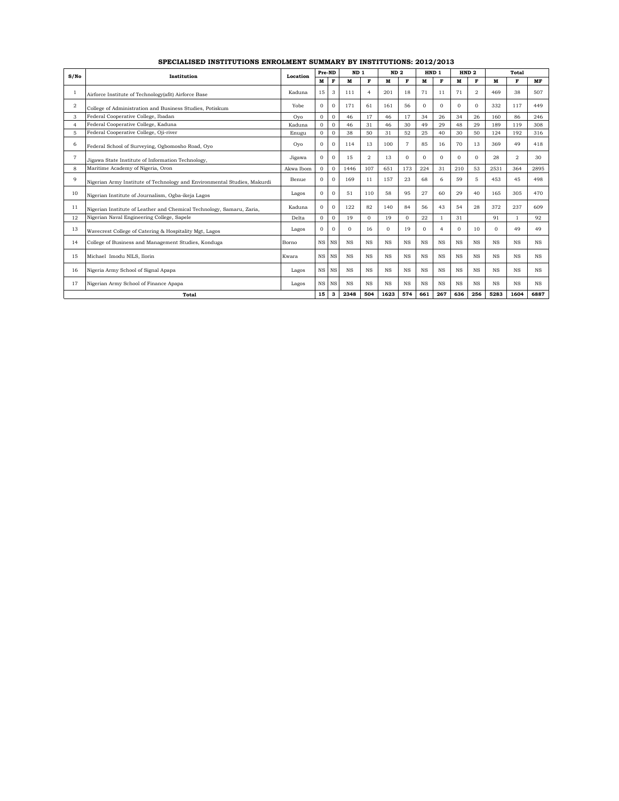| S/No             | Institution                                                              | Location  | Pre-ND       |              | ND <sub>1</sub> |                | ND <sub>2</sub> |           |           | HND 1          |           | HND <sub>2</sub> |             | Total          |           |
|------------------|--------------------------------------------------------------------------|-----------|--------------|--------------|-----------------|----------------|-----------------|-----------|-----------|----------------|-----------|------------------|-------------|----------------|-----------|
|                  |                                                                          |           | м            | F            | M               | F              | M               | F         | M         | F              | M         | F                | M           | F              | MF        |
|                  | Airforce Institute of Technology(afit) Airforce Base                     | Kaduna    | 15           | 3            | 111             | $\overline{4}$ | 201             | 18        | 71        | 11             | 71        | $\overline{2}$   | 469         | 38             | 507       |
| $\boldsymbol{2}$ | College of Administration and Business Studies, Potiskum                 | Yobe      | $\Omega$     | $\Omega$     | 171             | 61             | 161             | 56        | $\Omega$  | $\Omega$       | $\Omega$  | $\Omega$         | 332         | 117            | 449       |
| 3                | Federal Cooperative College, Ibadan                                      | Ovo       | $\Omega$     | $\mathbf{0}$ | 46              | 17             | 46              | 17        | 34        | 26             | 34        | 26               | 160         | 86             | 246       |
| $\overline{4}$   | Federal Cooperative College, Kaduna                                      | Kaduna    | $\Omega$     | $\Omega$     | 46              | 31             | 46              | 30        | 49        | 29             | 48        | 29               | 189         | 119            | 308       |
| 5                | Federal Cooperative College, Oji-river                                   | Enugu     | $\mathbf{O}$ | $\Omega$     | 38              | 50             | 31              | 52        | 25        | 40             | 30        | 50               | 124         | 192            | 316       |
| 6                | Federal School of Surveying, Ogbomosho Road, Oyo                         | Ovo       | $\Omega$     | $\Omega$     | 114             | 13             | 100             | 7         | 85        | 16             | 70        | 13               | 369         | 49             | 418       |
| 7                | Jigawa State Institute of Information Technology,                        | Jigawa    | $\mathbf{O}$ | $\mathbf{0}$ | 15              | 2              | 13              | $\Omega$  | $\Omega$  | $\Omega$       | $\Omega$  | $\Omega$         | 28          | $\overline{2}$ | 30        |
| 8                | Maritime Academy of Nigeria, Oron                                        | Akwa Ibom | $\Omega$     | $\Omega$     | 1446            | 107            | 651             | 173       | 224       | 31             | 210       | 53               | 2531        | 364            | 2895      |
| 9                | Nigerian Army Institute of Technology and Environmental Studies, Makurdi | Benue     | $\Omega$     | $\mathbf{0}$ | 169             | 11             | 157             | 23        | 68        | 6              | 59        | 5                | 453         | 45             | 498       |
| 10               | Nigerian Institute of Journalism, Ogba-ikeja Lagos                       | Lagos     | $\Omega$     | n            | 51              | 110            | 58              | 95        | 27        | 60             | 29        | 40               | 165         | 305            | 470       |
| 11               | Nigerian Institute of Leather and Chemical Technology, Samaru, Zaria,    | Kaduna    | $\Omega$     | $\mathbf{0}$ | 122             | 82             | 140             | 84        | 56        | 43             | 54        | 28               | 372         | 237            | 609       |
| 12               | Nigerian Naval Engineering College, Sapele                               | Delta     | $\Omega$     | $\Omega$     | 19              | $\Omega$       | 19              | $\Omega$  | 22        | $\mathbf{1}$   | 31        |                  | 91          |                | 92        |
| 13               | Wavecrest College of Catering & Hospitality Mgt, Lagos                   | Lagos     | $\Omega$     | $\Omega$     | $\Omega$        | 16             | $\Omega$        | 19        | $\Omega$  | $\overline{4}$ | $\Omega$  | 10               | $\Omega$    | 49             | 49        |
| 14               | College of Business and Management Studies, Konduga                      | Borno     | $_{\rm NS}$  | <b>NS</b>    | $_{\rm NS}$     | $_{\rm NS}$    | <b>NS</b>       | <b>NS</b> | <b>NS</b> | <b>NS</b>      | <b>NS</b> | $_{\rm NS}$      | <b>NS</b>   | $_{\rm NS}$    | <b>NS</b> |
| 15               | Michael Imodu NILS, Ilorin                                               | Kwara     | <b>NS</b>    | <b>NS</b>    | <b>NS</b>       | $_{\rm NS}$    | <b>NS</b>       | <b>NS</b> | <b>NS</b> | <b>NS</b>      | <b>NS</b> | <b>NS</b>        | <b>NS</b>   | $_{\rm NS}$    | <b>NS</b> |
| 16               | Nigeria Army School of Signal Apapa                                      | Lagos     | $_{\rm NS}$  | <b>NS</b>    | $_{\rm NS}$     | $_{\rm NS}$    | <b>NS</b>       | <b>NS</b> | <b>NS</b> | <b>NS</b>      | <b>NS</b> | $_{\rm NS}$      | <b>NS</b>   | $_{\rm NS}$    | <b>NS</b> |
| 17               | Nigerian Army School of Finance Apapa                                    | Lagos     | NS NS        |              | <b>NS</b>       | $_{\rm NS}$    | $_{\rm NS}$     | NS        | <b>NS</b> | <b>NS</b>      | <b>NS</b> | <b>NS</b>        | $_{\rm NS}$ | $_{\rm NS}$    | <b>NS</b> |
| Total            |                                                                          |           | 15           | 3            | 2348            | 504            | 1623            | 574       | 661       | 267            | 636       | 256              | 5283        | 1604           | 6887      |

**SPECIALISED INSTITUTIONS ENROLMENT SUMMARY BY INSTITUTIONS: 2012/2013**